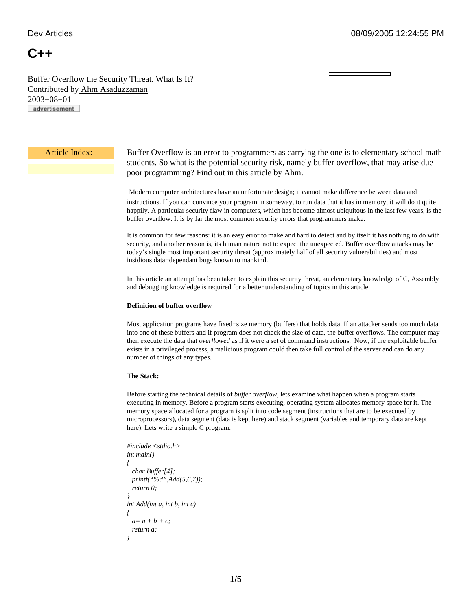# **C++**

[Buffer Overflow the Security Threat. What Is It?](http://www.devarticles.com/c/a/Cplusplus/Buffer-Overflow-the-Security-Threat.-What-Is-It/) Contributed b[y Ahm Asaduzzaman](http://www.devarticles.com/cp/bio/Ahm-Asaduzzaman/) 2003−08−01 advertisement

Article Index: Buffer Overflow is an error to programmers as carrying the one is to elementary school math students. So what is the potential security risk, namely buffer overflow, that may arise due poor programming? Find out in this article by Ahm.

> Modern computer architectures have an unfortunate design; it cannot make difference between data and instructions. If you can convince your program in someway, to run data that it has in memory, it will do it quite happily. A particular security flaw in computers, which has become almost ubiquitous in the last few years, is the buffer overflow. It is by far the most common security errors that programmers make.

> It is common for few reasons: it is an easy error to make and hard to detect and by itself it has nothing to do with security, and another reason is, its human nature not to expect the unexpected. Buffer overflow attacks may be today's single most important security threat (approximately half of all security vulnerabilities) and most insidious data−dependant bugs known to mankind.

> In this article an attempt has been taken to explain this security threat, an elementary knowledge of C, Assembly and debugging knowledge is required for a better understanding of topics in this article.

# **Definition of buffer overflow**

Most application programs have fixed−size memory (buffers) that holds data. If an attacker sends too much data into one of these buffers and if program does not check the size of data, the buffer overflows. The computer may then execute the data that *overflowed* as if it were a set of command instructions. Now, if the exploitable buffer exists in a privileged process, a malicious program could then take full control of the server and can do any number of things of any types.

# **The Stack:**

Before starting the technical details of *buffer overflow*, lets examine what happen when a program starts executing in memory. Before a program starts executing, operating system allocates memory space for it. The memory space allocated for a program is split into code segment (instructions that are to be executed by microprocessors), data segment (data is kept here) and stack segment (variables and temporary data are kept here). Lets write a simple C program.

```
#include <stdio.h>
int main()
{
   char Buffer[4];
   printf("%d",Add(5,6,7));
   return 0;
}
int Add(int a, int b, int c)
{
 a = a + b + c;
   return a;
}
```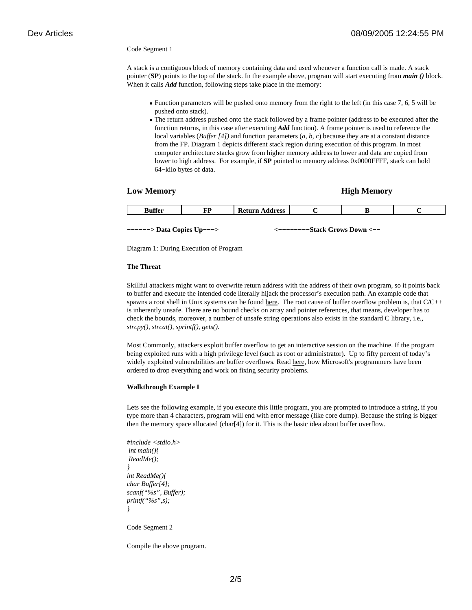### Code Segment 1

A stack is a contiguous block of memory containing data and used whenever a function call is made. A stack pointer (**SP**) points to the top of the stack. In the example above, program will start executing from *main ()* block. When it calls *Add* function, following steps take place in the memory:

- Function parameters will be pushed onto memory from the right to the left (in this case 7, 6, 5 will be pushed onto stack).
- The return address pushed onto the stack followed by a frame pointer (address to be executed after the function returns, in this case after executing *Add* function). A frame pointer is used to reference the local variables (*Buffer [4])* and function parameters (*a, b, c*) because they are at a constant distance from the FP. Diagram 1 depicts different stack region during execution of this program. In most computer architecture stacks grow from higher memory address to lower and data are copied from lower to high address. For example, if **SP** pointed to memory address 0x0000FFFF, stack can hold 64−kilo bytes of data.

# **Low Memory High Memory**

| -00<br>-- | mm<br><br>. . | naan<br>ັບນະ<br>--- |  |  |
|-----------|---------------|---------------------|--|--|
|           |               |                     |  |  |

**−−−−−−> Data Copies Up−−−> <−−−−−−−−Stack Grows Down <−−**

Diagram 1: During Execution of Program

# **The Threat**

Skillful attackers might want to overwrite return address with the address of their own program, so it points back to buffer and execute the intended code literally hijack the processor's execution path. An example code that spawns a root shell in Unix systems can be found [here](http://destroy.net/machines/security/P49-14-Aleph-One). The root cause of buffer overflow problem is, that  $C/C++$ is inherently unsafe. There are no bound checks on array and pointer references, that means, developer has to check the bounds, moreover, a number of unsafe string operations also exists in the standard C library, i.e., *strcpy(), strcat(), sprintf(), gets().*

Most Commonly, attackers exploit buffer overflow to get an interactive session on the machine. If the program being exploited runs with a high privilege level (such as root or administrator). Up to fifty percent of today's widely exploited vulnerabilities are buffer overflows. Read [here](http://www.ananova.com/business/story/sm_519431.html?menu=), how Microsoft's programmers have been ordered to drop everything and work on fixing security problems.

#### **Walkthrough Example I**

Lets see the following example, if you execute this little program, you are prompted to introduce a string, if you type more than 4 characters, program will end with error message (like core dump). Because the string is bigger then the memory space allocated (char[4]) for it. This is the basic idea about buffer overflow.

*#include <stdio.h> int main(){ ReadMe(); } int ReadMe(){ char Buffer[4]; scanf("%s", Buffer); printf("%s",s); }*

Code Segment 2

Compile the above program.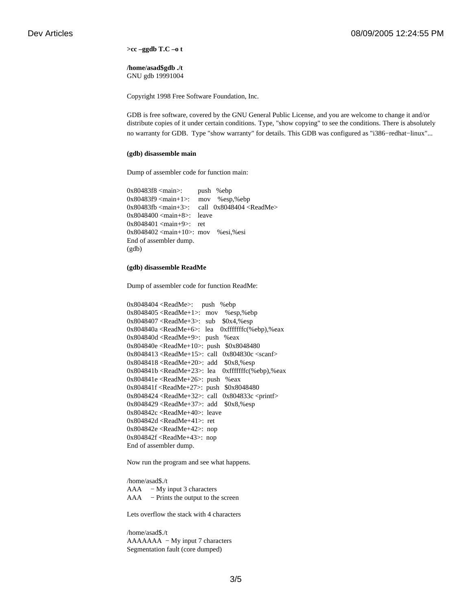**>cc –ggdb T.C –o t**

**/home/asad\$gdb ./t** GNU gdb 19991004

Copyright 1998 Free Software Foundation, Inc.

GDB is free software, covered by the GNU General Public License, and you are welcome to change it and/or distribute copies of it under certain conditions. Type, "show copying" to see the conditions. There is absolutely no warranty for GDB. Type "show warranty" for details. This GDB was configured as "i386−redhat−linux"...

### **(gdb) disassemble main**

Dump of assembler code for function main:

0x80483f8 <main>: push %ebp 0x80483f9 <main+1>: mov %esp,%ebp 0x80483fb <main+3>: call 0x8048404 <ReadMe> 0x8048400 <main+8>: leave 0x8048401 <main+9>: ret 0x8048402 <main+10>: mov %esi,%esi End of assembler dump. (gdb)

### **(gdb) disassemble ReadMe**

Dump of assembler code for function ReadMe:

0x8048404 <ReadMe>: push %ebp 0x8048405 <ReadMe+1>: mov %esp,%ebp 0x8048407 <ReadMe+3>: sub \$0x4,%esp 0x804840a <ReadMe+6>: lea 0xfffffffc(%ebp),%eax 0x804840d <ReadMe+9>: push %eax 0x804840e <ReadMe+10>: push \$0x8048480 0x8048413 <ReadMe+15>: call 0x804830c <scanf> 0x8048418 <ReadMe+20>: add \$0x8,%esp 0x804841b <ReadMe+23>: lea 0xfffffffc(%ebp),%eax 0x804841e <ReadMe+26>: push %eax 0x804841f <ReadMe+27>: push \$0x8048480 0x8048424 <ReadMe+32>: call 0x804833c <printf> 0x8048429 <ReadMe+37>: add \$0x8,%esp 0x804842c <ReadMe+40>: leave 0x804842d <ReadMe+41>: ret 0x804842e <ReadMe+42>: nop 0x804842f <ReadMe+43>: nop End of assembler dump.

Now run the program and see what happens.

/home/asad\$./t AAA − My input 3 characters AAA − Prints the output to the screen

Lets overflow the stack with 4 characters

/home/asad\$./t AAAAAAA − My input 7 characters Segmentation fault (core dumped)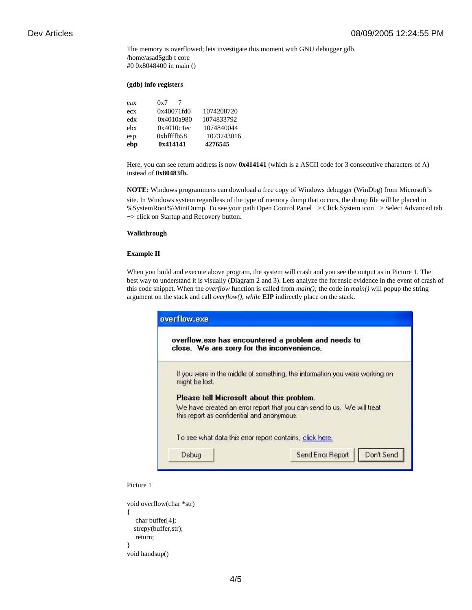The memory is overflowed; lets investigate this moment with GNU debugger gdb. /home/asad\$gdb t core #0 0x8048400 in main ()

# **(gdb) info registers**

| ebp | 0x414141   | 4276545       |
|-----|------------|---------------|
| esp | 0xbffffb58 | $-1073743016$ |
| ebx | 0x4010c1ec | 1074840044    |
| edx | 0x4010a980 | 1074833792    |
| ecx | 0x40071fd0 | 1074208720    |
| eax | 0x7        |               |

Here, you can see return address is now **0x414141** (which is a ASCII code for 3 consecutive characters of A) instead of **0x80483fb.**

**NOTE:** Windows programmers can download a free copy of Windows debugger (WinDbg) from Microsoft's site. In Windows system regardless of the type of memory dump that occurs, the dump file will be placed in %SystemRoot%\MiniDump. To see your path Open Control Panel −> Click System icon −> Select Advanced tab −> click on Startup and Recovery button.

### **Walkthrough**

# **Example II**

When you build and execute above program, the system will crash and you see the output as in Picture 1. The best way to understand it is visually (Diagram 2 and 3). Lets analyze the forensic evidence in the event of crash of this code snippet. When the *overflow* function is called from *main();* the code in *main()* will popup the string argument on the stack and call *overflow(), while* **EIP** indirectly place on the stack.

| close. We are sorry for the inconvenience. | overflow.exe has encountered a problem and needs to                         |
|--------------------------------------------|-----------------------------------------------------------------------------|
| might be lost.                             | If you were in the middle of something, the information you were working on |
| Please tell Microsoft about this problem.  |                                                                             |
| this report as confidential and anonymous. | We have created an error report that you can send to us. We will treat      |
|                                            | To see what data this error report contains, click here.                    |
| Debug                                      | Don't Send<br>Send Error Report                                             |

Picture 1

```
void overflow(char *str)
{
    char buffer[4];
   strcpy(buffer,str);
    return;
}
void handsup()
```